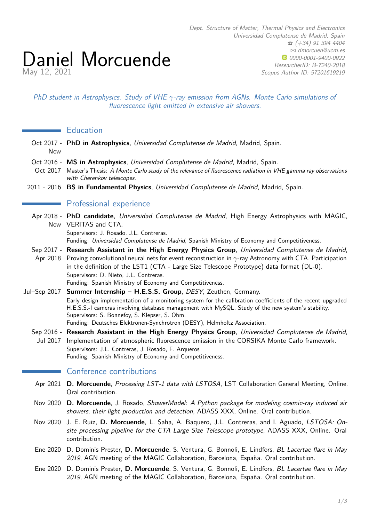PhD student in Astrophysics. Study of VHE *γ*-ray emission from AGNs. Monte Carlo simulations of fluorescence light emitted in extensive air showers.

## **Education**

May 12, 2021

Daniel Morcuende

- Oct 2017 **PhD in Astrophysics**, Universidad Complutense de Madrid, Madrid, Spain. Now
- Oct 2016 **MS in Astrophysics**, Universidad Complutense de Madrid, Madrid, Spain.
- Oct 2017 Master's Thesis: A Monte Carlo study of the relevance of fluorescence radiation in VHE gamma ray observations with Cherenkov telescopes.
- 2011 2016 **BS in Fundamental Physics**, Universidad Complutense de Madrid, Madrid, Spain.

## **Professional experience**

- Apr 2018 **PhD candidate**, Universidad Complutense de Madrid, High Energy Astrophysics with MAGIC, Now VERITAS and CTA. Supervisors: J. Rosado, J.L. Contreras.
	- Funding: Universidad Complutense de Madrid, Spanish Ministry of Economy and Competitiveness.
- Sep 2017 **Research Assistant in the High Energy Physics Group**, Universidad Complutense de Madrid,
- Apr 2018 Proving convolutional neural nets for event reconstruction in *γ*-ray Astronomy with CTA. Participation in the definition of the LST1 (CTA - Large Size Telescope Prototype) data format (DL-0). Supervisors: D. Nieto, J.L. Contreras. Funding: Spanish Ministry of Economy and Competitiveness.
	-
- Jul–Sep 2017 **Summer Internship H.E.S.S. Group**, DESY, Zeuthen, Germany. Early design implementation of a [monitoring system for the calibration coefficients of the recent upgraded](https://www-zeuthen.desy.de/students/2017/Summerstudents2017/reports/Daniel_Morcuende.pdf) [H.E.S.S.-I cameras](https://www-zeuthen.desy.de/students/2017/Summerstudents2017/reports/Daniel_Morcuende.pdf) involving database management with MySQL. Study of the new system's stability. Supervisors: S. Bonnefoy, S. Klepser, S. Ohm. Funding: Deutsches Elektronen-Synchrotron (DESY), Helmholtz Association.
	- Sep 2016 **Research Assistant in the High Energy Physics Group**, Universidad Complutense de Madrid,
	- Jul 2017 Implementation of atmospheric fluorescence emission in the CORSIKA Monte Carlo framework. Supervisors: J.L. Contreras, J. Rosado, F. Arqueros Funding: Spanish Ministry of Economy and Competitiveness.

### Conference contributions

- Apr 2021 **D. Morcuende**, Processing LST-1 data with LSTOSA, LST Collaboration General Meeting, Online. Oral contribution.
- Nov 2020 **D. Morcuende**, J. Rosado, ShowerModel: A Python package for modeling cosmic-ray induced air showers, their light production and detection, ADASS XXX, Online. Oral contribution.
- Nov 2020 J. E. Ruiz, **D. Morcuende**, L. Saha, A. Baquero, J.L. Contreras, and I. Aguado, LSTOSA: Onsite processing pipeline for the CTA Large Size Telescope prototype, ADASS XXX, Online. Oral contribution.
- Ene 2020 D. Dominis Prester, **D. Morcuende**, S. Ventura, G. Bonnoli, E. Lindfors, BL Lacertae flare in May 2019, AGN meeting of the MAGIC Collaboration, Barcelona, España. Oral contribution.
- Ene 2020 D. Dominis Prester, **D. Morcuende**, S. Ventura, G. Bonnoli, E. Lindfors, BL Lacertae flare in May 2019, AGN meeting of the MAGIC Collaboration, Barcelona, España. Oral contribution.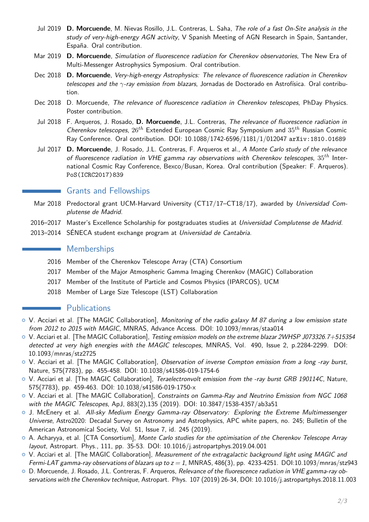- Jul 2019 **D. Morcuende**, M. Nievas Rosillo, J.L. Contreras, L. Saha, The role of a fast On-Site analysis in the study of very-high-energy AGN activity, V Spanish Meeting of AGN Research in Spain, Santander, España. Oral contribution.
- Mar 2019 **D. Morcuende**, Simulation of fluorescence radiation for Cherenkov observatories, The New Era of Multi-Messenger Astrophysics Symposium. Oral contribution.
- Dec 2018 **D. Morcuende**, Very-high-energy Astrophysics: The relevance of fluorescence radiation in Cherenkov telescopes and the *γ*-ray emission from blazars, Jornadas de Doctorado en Astrofísica. Oral contribution.
- Dec 2018 D. Morcuende, The relevance of fluorescence radiation in Cherenkov telescopes, PhDay Physics. [Poster contribution.](https://fisicas.ucm.es/data/cont/docs/18-2018-11-19-Morcuende_Daniel.pdf)
- Jul 2018 F. Arqueros, J. Rosado, **D. Morcuende**, J.L. Contreras, The relevance of fluorescence radiation in Cherenkov telescopes, 26*th* Extended European Cosmic Ray Symposium and 35*th* Russian Cosmic Ray Conference. Oral contribution. DOI: [10.1088/1742-6596/1181/1/012047](https://doi.org/10.1088/1742-6596/1181/1/012047) [arXiv:1810.01689](https://arxiv.org/abs/1810.01689)
- Jul 2017 **D. Morcuende**, J. Rosado, J.L. Contreras, F. Arqueros et al., A Monte Carlo study of the relevance of fluorescence radiation in VHE gamma ray observations with Cherenkov telescopes, 35*th* International Cosmic Ray Conference, Bexco/Busan, Korea. Oral contribution (Speaker: F. Arqueros). [PoS\(ICRC2017\)839](https://pos.sissa.it/301/839/pdf)

# Grants and Fellowships

- Mar 2018 Predoctoral grant UCM-Harvard University (CT17/17-CT18/17), awarded by Universidad Complutense de Madrid.
- 2016–2017 Master's Excellence Scholarship for postgraduates studies at Universidad Complutense de Madrid.
- 2013–2014 SÉNECA student exchange program at Universidad de Cantabria.

## **Memberships**

- 2016 Member of the Cherenkov Telescope Array (CTA) Consortium
- 2017 Member of the Major Atmospheric Gamma Imaging Cherenkov (MAGIC) Collaboration
- 2017 Member of the Institute of Particle and Cosmos Physics (IPARCOS), UCM
- 2018 Member of Large Size Telescope (LST) Collaboration

# **Publications**

- $\circ$  V. Acciari et al. [The MAGIC Collaboration], Monitoring of the radio galaxy M 87 during a low emission state from 2012 to 2015 with MAGIC, MNRAS, Advance Access. DOI: [10.1093/mnras/staa014](https://ui.adsabs.harvard.edu/link_gateway/2020MNRAS.tmp....2A/doi:10.1093/mnras/staa014)
- $\circ$  V. Acciari et al. [The MAGIC Collaboration], Testing emission models on the extreme blazar 2WHSP J073326.7+515354 detected at very high energies with the MAGIC telescopes, MNRAS, Vol. 490, Issue 2, p.2284-2299. DOI: [10.1093/mnras/stz2725](https://ui.adsabs.harvard.edu/link_gateway/2019MNRAS.490.2284M/doi:10.1093/mnras/stz2725)
- o V. Acciari et al. [The MAGIC Collaboration], Observation of inverse Compton emission from a long -ray burst, Nature, 575(7783), pp. 455-458. DOI: [10.1038/s41586-019-1754-6](https://ui.adsabs.harvard.edu/link_gateway/2019Natur.575..459M/doi:10.1038/s41586-019-1754-6)
- o V. Acciari et al. [The MAGIC Collaboration], Teraelectronvolt emission from the -ray burst GRB 190114C, Nature, 575(7783), pp. 459-463. DOI: [10.1038/s41586-019-1750-x](https://ui.adsabs.harvard.edu/link_gateway/2019Natur.575..455M/doi:10.1038/s41586-019-1750-x)
- $\circ$  V. Acciari et al. [The MAGIC Collaboration], Constraints on Gamma-Ray and Neutrino Emission from NGC 1068 with the MAGIC Telescopes, ApJ, 883(2),135 (2019). DOI: [10.3847/1538-4357/ab3a51](https://ui.adsabs.harvard.edu/link_gateway/2019ApJ...883..135A/doi:10.3847/1538-4357/ab3a51)
- $\circ$  J. McEnery et al. All-sky Medium Energy Gamma-ray Observatory: Exploring the Extreme Multimessenger Universe, Astro2020: Decadal Survey on Astronomy and Astrophysics, APC white papers, no. 245; Bulletin of the American Astronomical Society, Vol. 51, Issue 7, id. 245 (2019).
- $\circ$  A. Acharyya, et al. [CTA Consortium], Monte Carlo studies for the optimisation of the Cherenkov Telescope Array layout, Astropart. Phys., 111, pp. 35-53. DOI: [10.1016/j.astropartphys.2019.04.001](https://ui.adsabs.harvard.edu/link_gateway/2019APh...111...35A/doi:10.1016/j.astropartphys.2019.04.001)
- $\circ$  V. Acciari et al. [The MAGIC Collaboration], Measurement of the extragalactic background light using MAGIC and Fermi-LAT gamma-ray observations of blazars up to  $z = 1$ , MNRAS, 486(3), pp. 4233-4251. DOI[:10.1093/mnras/stz943](https://ui.adsabs.harvard.edu/link_gateway/2019MNRAS.486.4233A/doi:10.1093/mnras/stz943)
- $\circ$  D. Morcuende, J. Rosado, J.L. Contreras, F. Arqueros, Relevance of the fluorescence radiation in VHE gamma-ray observations with the Cherenkov technique, Astropart. Phys. 107 (2019) 26-34, DOI: [10.1016/j.astropartphys.2018.11.003](https://doi.org/10.1016/j.astropartphys.2018.11.003)